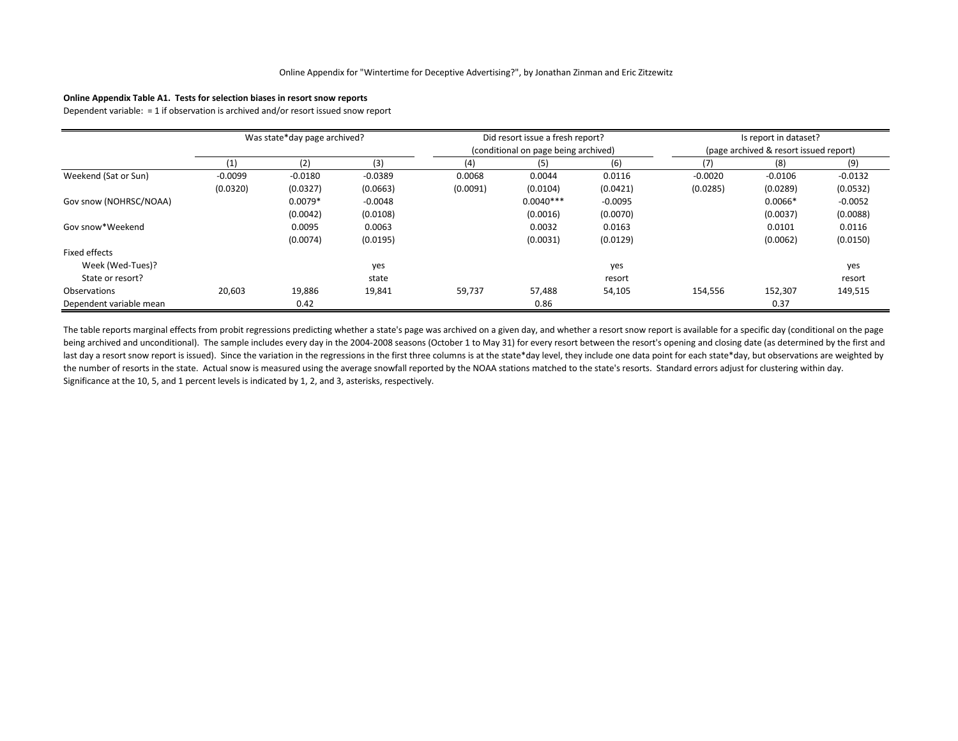### **Online Appendix Table A1. Tests for selection biases in resort snow reports**

Dependent variable: = 1 if observation is archived and/or resort issued snow report

|                         | Was state*day page archived? |           |           |                                      | Did resort issue a fresh report? |           |                                        | Is report in dataset? |           |  |
|-------------------------|------------------------------|-----------|-----------|--------------------------------------|----------------------------------|-----------|----------------------------------------|-----------------------|-----------|--|
|                         |                              |           |           | (conditional on page being archived) |                                  |           | (page archived & resort issued report) |                       |           |  |
|                         | (1)                          | (2)       | (3)       | (4)                                  | (5)                              | (6)       | (7)                                    | (8)                   | (9)       |  |
| Weekend (Sat or Sun)    | $-0.0099$                    | $-0.0180$ | $-0.0389$ | 0.0068                               | 0.0044                           | 0.0116    | $-0.0020$                              | $-0.0106$             | $-0.0132$ |  |
|                         | (0.0320)                     | (0.0327)  | (0.0663)  | (0.0091)                             | (0.0104)                         | (0.0421)  | (0.0285)                               | (0.0289)              | (0.0532)  |  |
| Gov snow (NOHRSC/NOAA)  |                              | $0.0079*$ | $-0.0048$ |                                      | $0.0040***$                      | $-0.0095$ |                                        | $0.0066*$             | $-0.0052$ |  |
|                         |                              | (0.0042)  | (0.0108)  |                                      | (0.0016)                         | (0.0070)  |                                        | (0.0037)              | (0.0088)  |  |
| Gov snow*Weekend        |                              | 0.0095    | 0.0063    |                                      | 0.0032                           | 0.0163    |                                        | 0.0101                | 0.0116    |  |
|                         |                              | (0.0074)  | (0.0195)  |                                      | (0.0031)                         | (0.0129)  |                                        | (0.0062)              | (0.0150)  |  |
| Fixed effects           |                              |           |           |                                      |                                  |           |                                        |                       |           |  |
| Week (Wed-Tues)?        |                              |           | yes       |                                      |                                  | yes       |                                        |                       | yes       |  |
| State or resort?        |                              |           | state     |                                      |                                  | resort    |                                        |                       | resort    |  |
| Observations            | 20,603                       | 19,886    | 19,841    | 59,737                               | 57,488                           | 54,105    | 154,556                                | 152,307               | 149,515   |  |
| Dependent variable mean |                              | 0.42      |           |                                      | 0.86                             |           |                                        | 0.37                  |           |  |

The table reports marginal effects from probit regressions predicting whether a state's page was archived on a given day, and whether a resort snow report is available for a specific day (conditional on the page being archived and unconditional). The sample includes every day in the 2004-2008 seasons (October 1 to May 31) for every resort between the resort's opening and closing date (as determined by the first and last day a resort snow report is issued). Since the variation in the regressions in the first three columns is at the state\*day level, they include one data point for each state\*day, but observations are weighted by the number of resorts in the state. Actual snow is measured using the average snowfall reported by the NOAA stations matched to the state's resorts. Standard errors adjust for clustering within day. Significance at the 10, 5, and 1 percent levels is indicated by 1, 2, and 3, asterisks, respectively.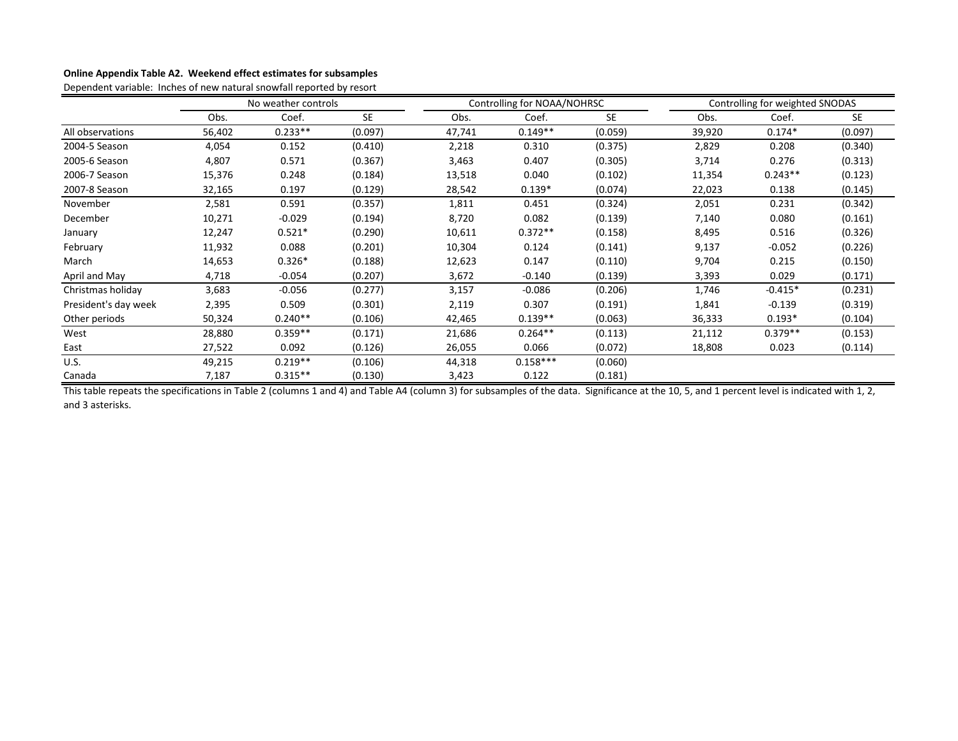### **Online Appendix Table A2. Weekend effect estimates for subsamples**

Dependent variable: Inches of new natural snowfall reported by resort

|                      | No weather controls |           |           |        | Controlling for NOAA/NOHRSC |           |        | Controlling for weighted SNODAS |           |  |
|----------------------|---------------------|-----------|-----------|--------|-----------------------------|-----------|--------|---------------------------------|-----------|--|
|                      | Obs.                | Coef.     | <b>SE</b> | Obs.   | Coef.                       | <b>SE</b> | Obs.   | Coef.                           | <b>SE</b> |  |
| All observations     | 56,402              | $0.233**$ | (0.097)   | 47,741 | $0.149**$                   | (0.059)   | 39,920 | $0.174*$                        | (0.097)   |  |
| 2004-5 Season        | 4,054               | 0.152     | (0.410)   | 2,218  | 0.310                       | (0.375)   | 2,829  | 0.208                           | (0.340)   |  |
| 2005-6 Season        | 4,807               | 0.571     | (0.367)   | 3,463  | 0.407                       | (0.305)   | 3,714  | 0.276                           | (0.313)   |  |
| 2006-7 Season        | 15,376              | 0.248     | (0.184)   | 13,518 | 0.040                       | (0.102)   | 11,354 | $0.243**$                       | (0.123)   |  |
| 2007-8 Season        | 32,165              | 0.197     | (0.129)   | 28,542 | $0.139*$                    | (0.074)   | 22,023 | 0.138                           | (0.145)   |  |
| November             | 2,581               | 0.591     | (0.357)   | 1,811  | 0.451                       | (0.324)   | 2,051  | 0.231                           | (0.342)   |  |
| December             | 10,271              | $-0.029$  | (0.194)   | 8,720  | 0.082                       | (0.139)   | 7,140  | 0.080                           | (0.161)   |  |
| January              | 12,247              | $0.521*$  | (0.290)   | 10,611 | $0.372**$                   | (0.158)   | 8,495  | 0.516                           | (0.326)   |  |
| February             | 11,932              | 0.088     | (0.201)   | 10,304 | 0.124                       | (0.141)   | 9,137  | $-0.052$                        | (0.226)   |  |
| March                | 14,653              | $0.326*$  | (0.188)   | 12,623 | 0.147                       | (0.110)   | 9,704  | 0.215                           | (0.150)   |  |
| April and May        | 4,718               | $-0.054$  | (0.207)   | 3,672  | $-0.140$                    | (0.139)   | 3,393  | 0.029                           | (0.171)   |  |
| Christmas holiday    | 3,683               | $-0.056$  | (0.277)   | 3,157  | $-0.086$                    | (0.206)   | 1,746  | $-0.415*$                       | (0.231)   |  |
| President's day week | 2,395               | 0.509     | (0.301)   | 2,119  | 0.307                       | (0.191)   | 1,841  | $-0.139$                        | (0.319)   |  |
| Other periods        | 50,324              | $0.240**$ | (0.106)   | 42,465 | $0.139**$                   | (0.063)   | 36,333 | $0.193*$                        | (0.104)   |  |
| West                 | 28,880              | $0.359**$ | (0.171)   | 21,686 | $0.264**$                   | (0.113)   | 21,112 | $0.379**$                       | (0.153)   |  |
| East                 | 27,522              | 0.092     | (0.126)   | 26,055 | 0.066                       | (0.072)   | 18,808 | 0.023                           | (0.114)   |  |
| U.S.                 | 49,215              | $0.219**$ | (0.106)   | 44,318 | $0.158***$                  | (0.060)   |        |                                 |           |  |
| Canada               | 7,187               | $0.315**$ | (0.130)   | 3,423  | 0.122                       | (0.181)   |        |                                 |           |  |

This table repeats the specifications in Table 2 (columns 1 and 4) and Table A4 (column 3) for subsamples of the data. Significance at the 10, 5, and 1 percent level is indicated with 1, 2, and 3 asterisks.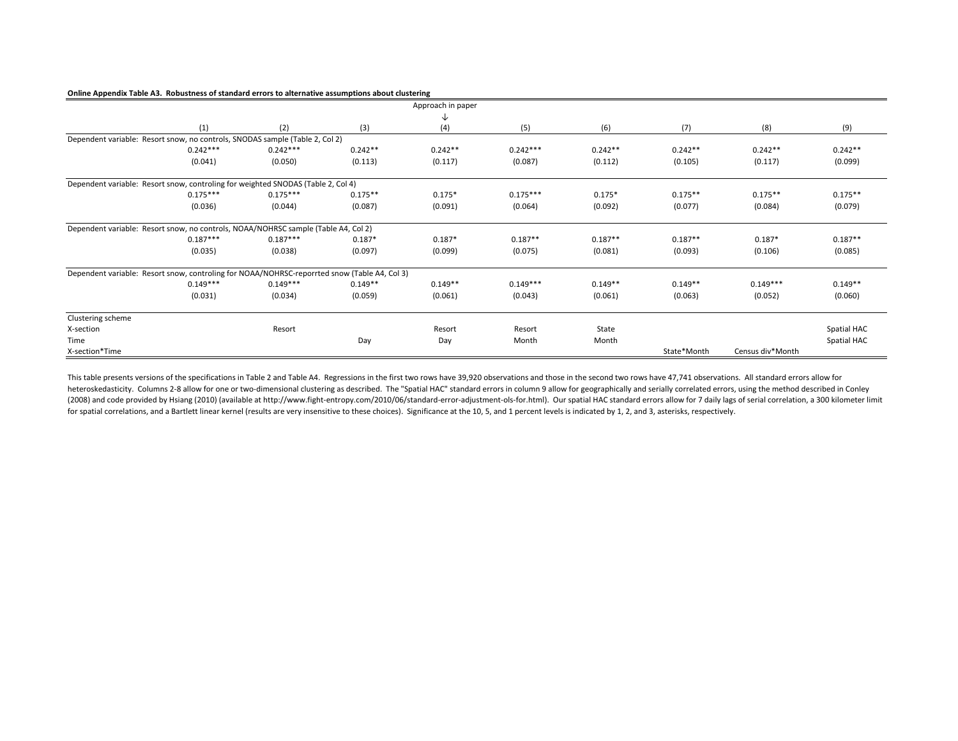#### **Online Appendix Table A3. Robustness of standard errors to alternative assumptions about clustering**

|                                                                                              |            |            |           | Approach in paper |            |           |             |                  |             |
|----------------------------------------------------------------------------------------------|------------|------------|-----------|-------------------|------------|-----------|-------------|------------------|-------------|
|                                                                                              |            |            |           | ↓                 |            |           |             |                  |             |
|                                                                                              | (1)        | (2)        | (3)       | (4)               | (5)        | (6)       | (7)         | (8)              | (9)         |
| Dependent variable: Resort snow, no controls, SNODAS sample (Table 2, Col 2)                 |            |            |           |                   |            |           |             |                  |             |
|                                                                                              | $0.242***$ | $0.242***$ | $0.242**$ | $0.242**$         | $0.242***$ | $0.242**$ | $0.242**$   | $0.242**$        | $0.242**$   |
|                                                                                              | (0.041)    | (0.050)    | (0.113)   | (0.117)           | (0.087)    | (0.112)   | (0.105)     | (0.117)          | (0.099)     |
| Dependent variable: Resort snow, controling for weighted SNODAS (Table 2, Col 4)             |            |            |           |                   |            |           |             |                  |             |
|                                                                                              | $0.175***$ | $0.175***$ | $0.175**$ | $0.175*$          | $0.175***$ | $0.175*$  | $0.175**$   | $0.175**$        | $0.175**$   |
|                                                                                              | (0.036)    | (0.044)    | (0.087)   | (0.091)           | (0.064)    | (0.092)   | (0.077)     | (0.084)          | (0.079)     |
| Dependent variable: Resort snow, no controls, NOAA/NOHRSC sample (Table A4, Col 2)           |            |            |           |                   |            |           |             |                  |             |
|                                                                                              | $0.187***$ | $0.187***$ | $0.187*$  | $0.187*$          | $0.187**$  | $0.187**$ | $0.187**$   | $0.187*$         | $0.187**$   |
|                                                                                              | (0.035)    | (0.038)    | (0.097)   | (0.099)           | (0.075)    | (0.081)   | (0.093)     | (0.106)          | (0.085)     |
| Dependent variable: Resort snow, controling for NOAA/NOHRSC-reporrted snow (Table A4, Col 3) |            |            |           |                   |            |           |             |                  |             |
|                                                                                              | $0.149***$ | $0.149***$ | $0.149**$ | $0.149**$         | $0.149***$ | $0.149**$ | $0.149**$   | $0.149***$       | $0.149**$   |
|                                                                                              | (0.031)    | (0.034)    | (0.059)   | (0.061)           | (0.043)    | (0.061)   | (0.063)     | (0.052)          | (0.060)     |
| Clustering scheme                                                                            |            |            |           |                   |            |           |             |                  |             |
| X-section                                                                                    |            | Resort     |           | Resort            | Resort     | State     |             |                  | Spatial HAC |
| Time                                                                                         |            |            | Day       | Day               | Month      | Month     |             |                  | Spatial HAC |
| X-section*Time                                                                               |            |            |           |                   |            |           | State*Month | Census div*Month |             |

This table presents versions of the specifications in Table 2 and Table A4. Regressions in the first two rows have 39,920 observations and those in the second two rows have 47,741 observations. All standard errors allow for heteroskedasticity. Columns 2-8 allow for one or two-dimensional clustering as described. The "Spatial HAC" standard errors in column 9 allow for geographically and serially correlated errors, using the method described in (2008) and code provided by Hsiang (2010) (available at http://www.fight-entropy.com/2010/06/standard-error-adjustment-ols-for.html). Our spatial HAC standard errors allow for 7 daily lags of serial correlation, a 300 kilo for spatial correlations, and a Bartlett linear kernel (results are very insensitive to these choices). Significance at the 10, 5, and 1 percent levels is indicated by 1, 2, and 3, asterisks, respectively.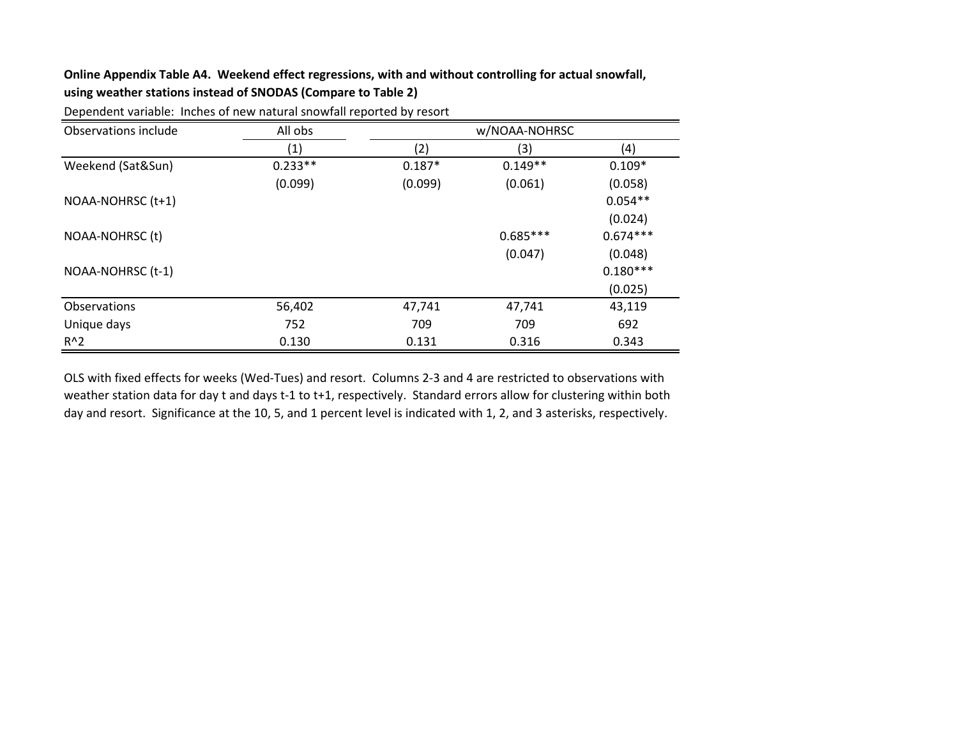# **Online Appendix Table A4. Weekend effect regressions, with and without controlling for actual snowfall, using weather stations instead of SNODAS (Compare to Table 2)**

| Observations include | All obs   | w/NOAA-NOHRSC |            |            |  |  |
|----------------------|-----------|---------------|------------|------------|--|--|
|                      | (1)       | (2)           | (3)        | (4)        |  |  |
| Weekend (Sat&Sun)    | $0.233**$ | $0.187*$      | $0.149**$  | $0.109*$   |  |  |
|                      | (0.099)   | (0.099)       | (0.061)    | (0.058)    |  |  |
| NOAA-NOHRSC (t+1)    |           |               |            | $0.054**$  |  |  |
|                      |           |               |            | (0.024)    |  |  |
| NOAA-NOHRSC (t)      |           |               | $0.685***$ | $0.674***$ |  |  |
|                      |           |               | (0.047)    | (0.048)    |  |  |
| NOAA-NOHRSC (t-1)    |           |               |            | $0.180***$ |  |  |
|                      |           |               |            | (0.025)    |  |  |
| <b>Observations</b>  | 56,402    | 47,741        | 47,741     | 43,119     |  |  |
| Unique days          | 752       | 709           | 709        | 692        |  |  |
| $R^2$                | 0.130     | 0.131         | 0.316      | 0.343      |  |  |

Dependent variable: Inches of new natural snowfall reported by resort

OLS with fixed effects for weeks (Wed-Tues) and resort. Columns 2-3 and 4 are restricted to observations with weather station data for day t and days t-1 to t+1, respectively. Standard errors allow for clustering within both day and resort. Significance at the 10, 5, and 1 percent level is indicated with 1, 2, and 3 asterisks, respectively.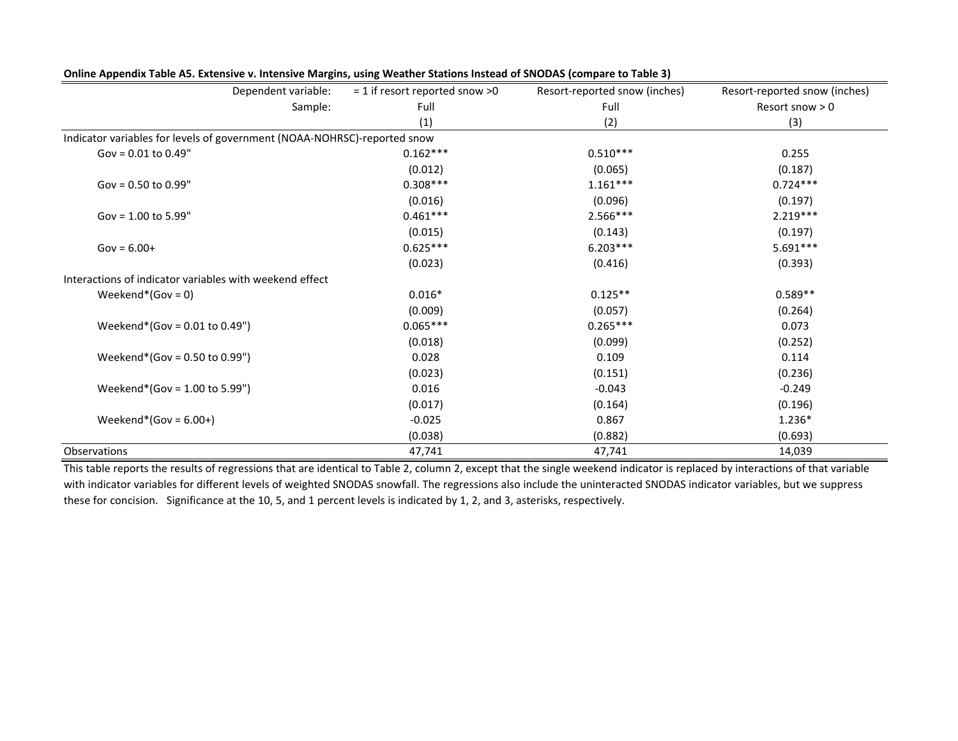| Dependent variable:                                                      | $= 1$ if resort reported snow >0 | Resort-reported snow (inches) | Resort-reported snow (inches) |
|--------------------------------------------------------------------------|----------------------------------|-------------------------------|-------------------------------|
| Sample:                                                                  | Full                             | Full                          | Resort snow $> 0$             |
|                                                                          | (1)                              | (2)                           | (3)                           |
| Indicator variables for levels of government (NOAA-NOHRSC)-reported snow |                                  |                               |                               |
| Gov = $0.01$ to $0.49$ "                                                 | $0.162***$                       | $0.510***$                    | 0.255                         |
|                                                                          | (0.012)                          | (0.065)                       | (0.187)                       |
| Gov = $0.50$ to $0.99$ "                                                 | $0.308***$                       | $1.161***$                    | $0.724***$                    |
|                                                                          | (0.016)                          | (0.096)                       | (0.197)                       |
| Gov = $1.00$ to $5.99$ "                                                 | $0.461***$                       | $2.566***$                    | $2.219***$                    |
|                                                                          | (0.015)                          | (0.143)                       | (0.197)                       |
| $Gov = 6.00+$                                                            | $0.625***$                       | $6.203***$                    | $5.691***$                    |
|                                                                          | (0.023)                          | (0.416)                       | (0.393)                       |
| Interactions of indicator variables with weekend effect                  |                                  |                               |                               |
| Weekend*(Gov = $0$ )                                                     | $0.016*$                         | $0.125**$                     | $0.589**$                     |
|                                                                          | (0.009)                          | (0.057)                       | (0.264)                       |
| Weekend*(Gov = $0.01$ to $0.49$ ")                                       | $0.065***$                       | $0.265***$                    | 0.073                         |
|                                                                          | (0.018)                          | (0.099)                       | (0.252)                       |
| Weekend*(Gov = $0.50$ to $0.99$ ")                                       | 0.028                            | 0.109                         | 0.114                         |
|                                                                          | (0.023)                          | (0.151)                       | (0.236)                       |
| Weekend*(Gov = $1.00$ to $5.99$ ")                                       | 0.016                            | $-0.043$                      | $-0.249$                      |
|                                                                          | (0.017)                          | (0.164)                       | (0.196)                       |
| Weekend*(Gov = $6.00+$ )                                                 | $-0.025$                         | 0.867                         | 1.236*                        |
|                                                                          | (0.038)                          | (0.882)                       | (0.693)                       |
| Observations                                                             | 47,741                           | 47,741                        | 14,039                        |

**Online Appendix Table A5. Extensive v. Intensive Margins, using Weather Stations Instead of SNODAS (compare to Table 3)**

This table reports the results of regressions that are identical to Table 2, column 2, except that the single weekend indicator is replaced by interactions of that variable with indicator variables for different levels of weighted SNODAS snowfall. The regressions also include the uninteracted SNODAS indicator variables, but we suppress these for concision. Significance at the 10, 5, and 1 percent levels is indicated by 1, 2, and 3, asterisks, respectively.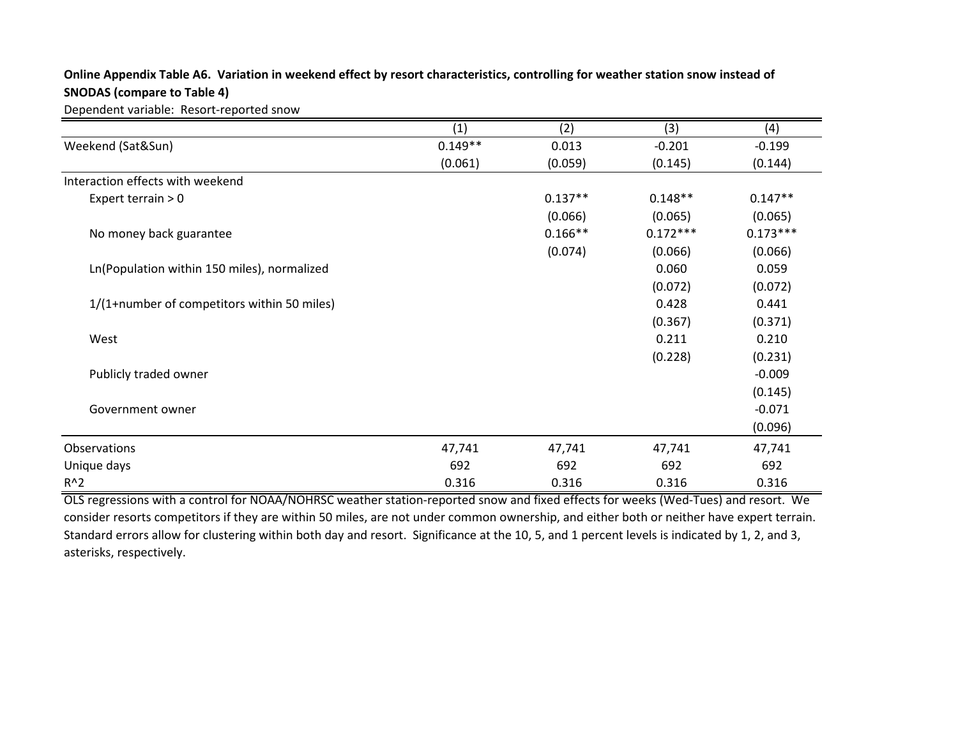# **Online Appendix Table A6. Variation in weekend effect by resort characteristics, controlling for weather station snow instead of SNODAS (compare to Table 4)**

Dependent variable: Resort-reported snow

|                                             | (1)       | (2)       | (3)        | (4)        |
|---------------------------------------------|-----------|-----------|------------|------------|
| Weekend (Sat&Sun)                           | $0.149**$ | 0.013     | $-0.201$   | $-0.199$   |
|                                             | (0.061)   | (0.059)   | (0.145)    | (0.144)    |
| Interaction effects with weekend            |           |           |            |            |
| Expert terrain $>0$                         |           | $0.137**$ | $0.148**$  | $0.147**$  |
|                                             |           | (0.066)   | (0.065)    | (0.065)    |
| No money back guarantee                     |           | $0.166**$ | $0.172***$ | $0.173***$ |
|                                             |           | (0.074)   | (0.066)    | (0.066)    |
| Ln(Population within 150 miles), normalized |           |           | 0.060      | 0.059      |
|                                             |           |           | (0.072)    | (0.072)    |
| 1/(1+number of competitors within 50 miles) |           |           | 0.428      | 0.441      |
|                                             |           |           | (0.367)    | (0.371)    |
| West                                        |           |           | 0.211      | 0.210      |
|                                             |           |           | (0.228)    | (0.231)    |
| Publicly traded owner                       |           |           |            | $-0.009$   |
|                                             |           |           |            | (0.145)    |
| Government owner                            |           |           |            | $-0.071$   |
|                                             |           |           |            | (0.096)    |
| Observations                                | 47,741    | 47,741    | 47,741     | 47,741     |
| Unique days                                 | 692       | 692       | 692        | 692        |
| $R^2$                                       | 0.316     | 0.316     | 0.316      | 0.316      |

OLS regressions with a control for NOAA/NOHRSC weather station-reported snow and fixed effects for weeks (Wed-Tues) and resort. We consider resorts competitors if they are within 50 miles, are not under common ownership, and either both or neither have expert terrain. Standard errors allow for clustering within both day and resort. Significance at the 10, 5, and 1 percent levels is indicated by 1, 2, and 3, asterisks, respectively.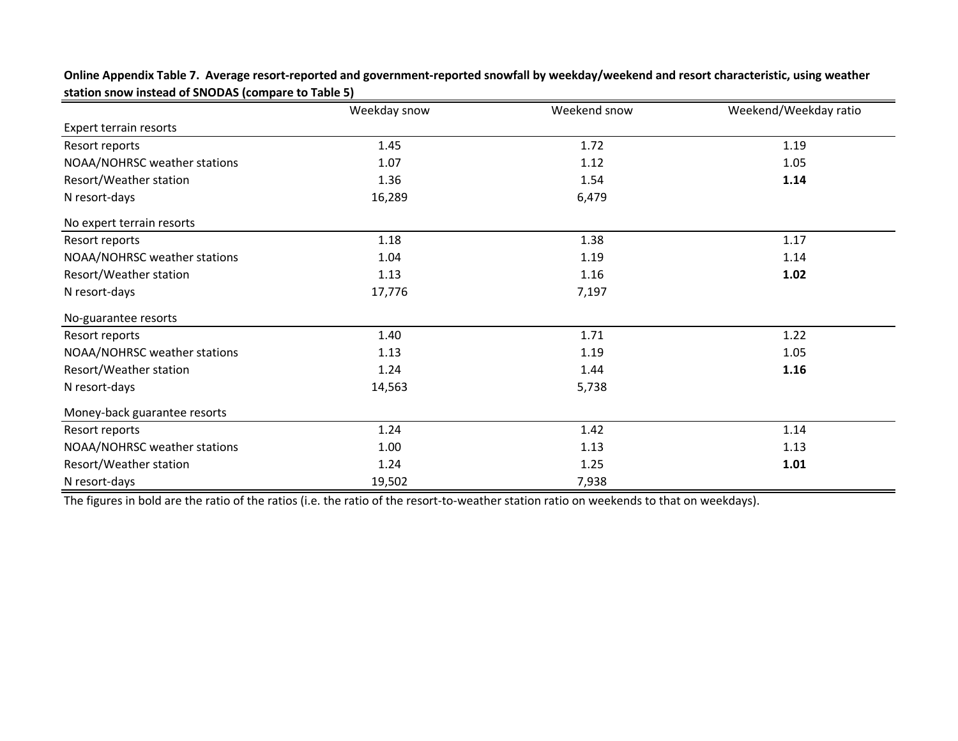|                              | Weekday snow | Weekend snow | Weekend/Weekday ratio |  |
|------------------------------|--------------|--------------|-----------------------|--|
| Expert terrain resorts       |              |              |                       |  |
| Resort reports               | 1.45         | 1.72         | 1.19                  |  |
| NOAA/NOHRSC weather stations | 1.07         | 1.12         | 1.05                  |  |
| Resort/Weather station       | 1.36         | 1.54         | 1.14                  |  |
| N resort-days                | 16,289       | 6,479        |                       |  |
| No expert terrain resorts    |              |              |                       |  |
| Resort reports               | 1.18         | 1.38         | 1.17                  |  |
| NOAA/NOHRSC weather stations | 1.04         | 1.19         | 1.14                  |  |
| Resort/Weather station       | 1.13         | 1.16         | 1.02                  |  |
| N resort-days                | 17,776       | 7,197        |                       |  |
| No-guarantee resorts         |              |              |                       |  |
| Resort reports               | 1.40         | 1.71         | 1.22                  |  |
| NOAA/NOHRSC weather stations | 1.13         | 1.19         | 1.05                  |  |
| Resort/Weather station       | 1.24         | 1.44         | 1.16                  |  |
| N resort-days                | 14,563       | 5,738        |                       |  |
| Money-back guarantee resorts |              |              |                       |  |
| Resort reports               | 1.24         | 1.42         | 1.14                  |  |
| NOAA/NOHRSC weather stations | 1.00         | 1.13         | 1.13                  |  |
| Resort/Weather station       | 1.24         | 1.25         | 1.01                  |  |
| N resort-days                | 19,502       | 7,938        |                       |  |

**Online Appendix Table 7. Average resort-reported and government-reported snowfall by weekday/weekend and resort characteristic, using weather station snow instead of SNODAS (compare to Table 5)**

The figures in bold are the ratio of the ratios (i.e. the ratio of the resort-to-weather station ratio on weekends to that on weekdays).